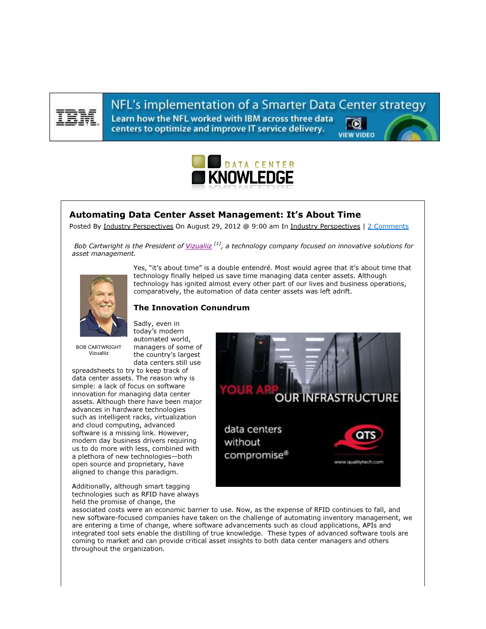

NFL's implementation of a Smarter Data Center strategy Learn how the NFL worked with IBM across three data centers to optimize and improve IT service delivery. **VIEW VIDEO** 



## Automating Data Center Asset Management: It's About Time

Posted By Industry Perspectives On August 29, 2012 @ 9:00 am In Industry Perspectives | 2 Comments

Bob Cartwright is the President of Vizualiiz  $[1]$ , a technology company focused on innovative solutions for asset management.



Yes, "it's about time" is a double entendré. Most would agree that it's about time that technology finally helped us save time managing data center assets. Although technology has ignited almost every other part of our lives and business operations, comparatively, the automation of data center assets was left adrift.

## The Innovation Conundrum

BOB CARTWRIGHT Vizualiiz

today's modern automated world, managers of some of the country's largest data centers still use

Sadly, even in

spreadsheets to try to keep track of data center assets. The reason why is simple: a lack of focus on software innovation for managing data center assets. Although there have been major advances in hardware technologies such as intelligent racks, virtualization and cloud computing, advanced software is a missing link. However, modern day business drivers requiring us to do more with less, combined with a plethora of new technologies—both open source and proprietary, have aligned to change this paradigm.

Additionally, although smart tagging technologies such as RFID have always held the promise of change, the



associated costs were an economic barrier to use. Now, as the expense of RFID continues to fall, and new software-focused companies have taken on the challenge of automating inventory management, we are entering a time of change, where software advancements such as cloud applications, APIs and integrated tool sets enable the distilling of true knowledge. These types of advanced software tools are coming to market and can provide critical asset insights to both data center managers and others throughout the organization.